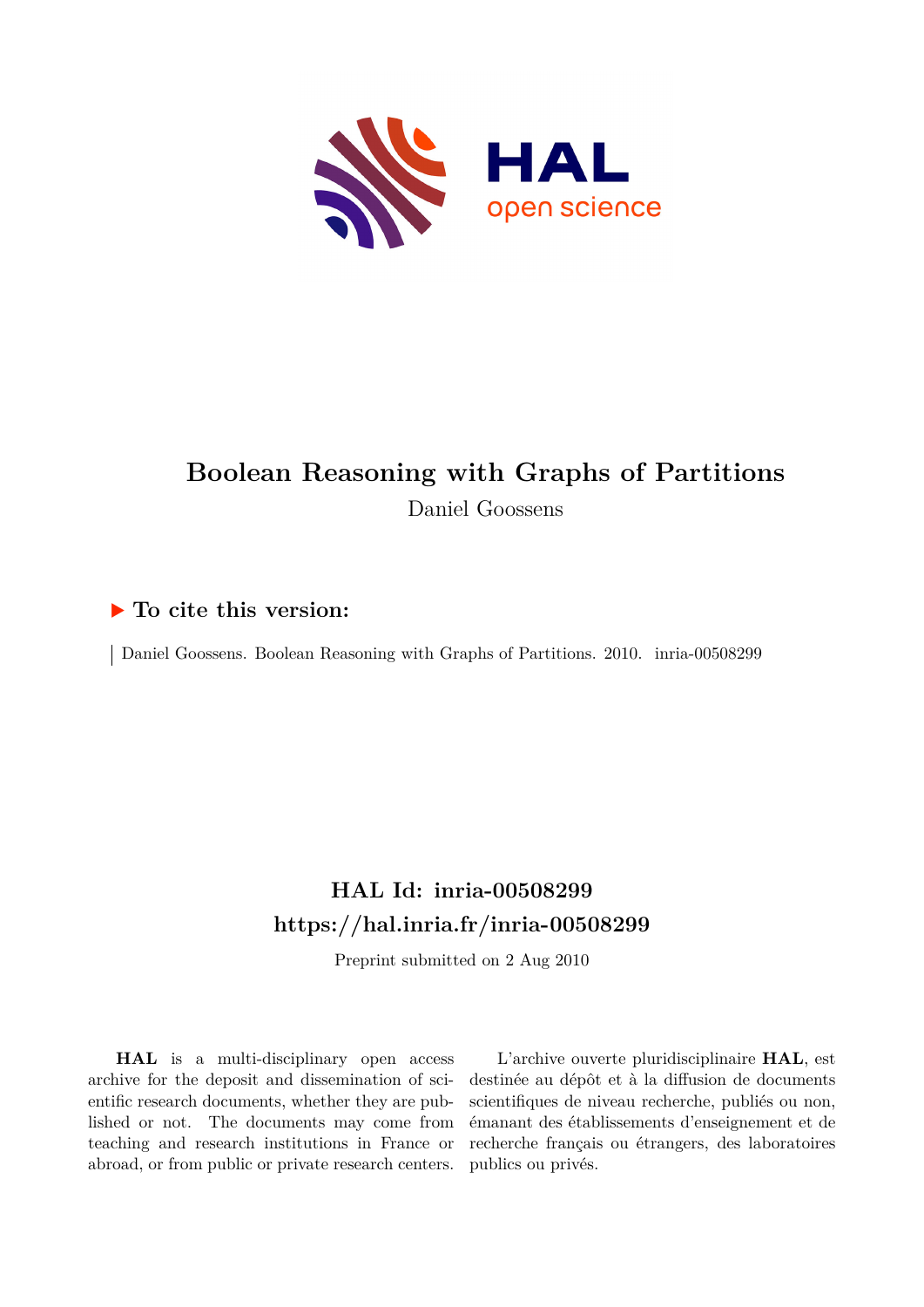

## **Boolean Reasoning with Graphs of Partitions** Daniel Goossens

### **To cite this version:**

Daniel Goossens. Boolean Reasoning with Graphs of Partitions. 2010. inria-00508299

## **HAL Id: inria-00508299 <https://hal.inria.fr/inria-00508299>**

Preprint submitted on 2 Aug 2010

**HAL** is a multi-disciplinary open access archive for the deposit and dissemination of scientific research documents, whether they are published or not. The documents may come from teaching and research institutions in France or abroad, or from public or private research centers.

L'archive ouverte pluridisciplinaire **HAL**, est destinée au dépôt et à la diffusion de documents scientifiques de niveau recherche, publiés ou non, émanant des établissements d'enseignement et de recherche français ou étrangers, des laboratoires publics ou privés.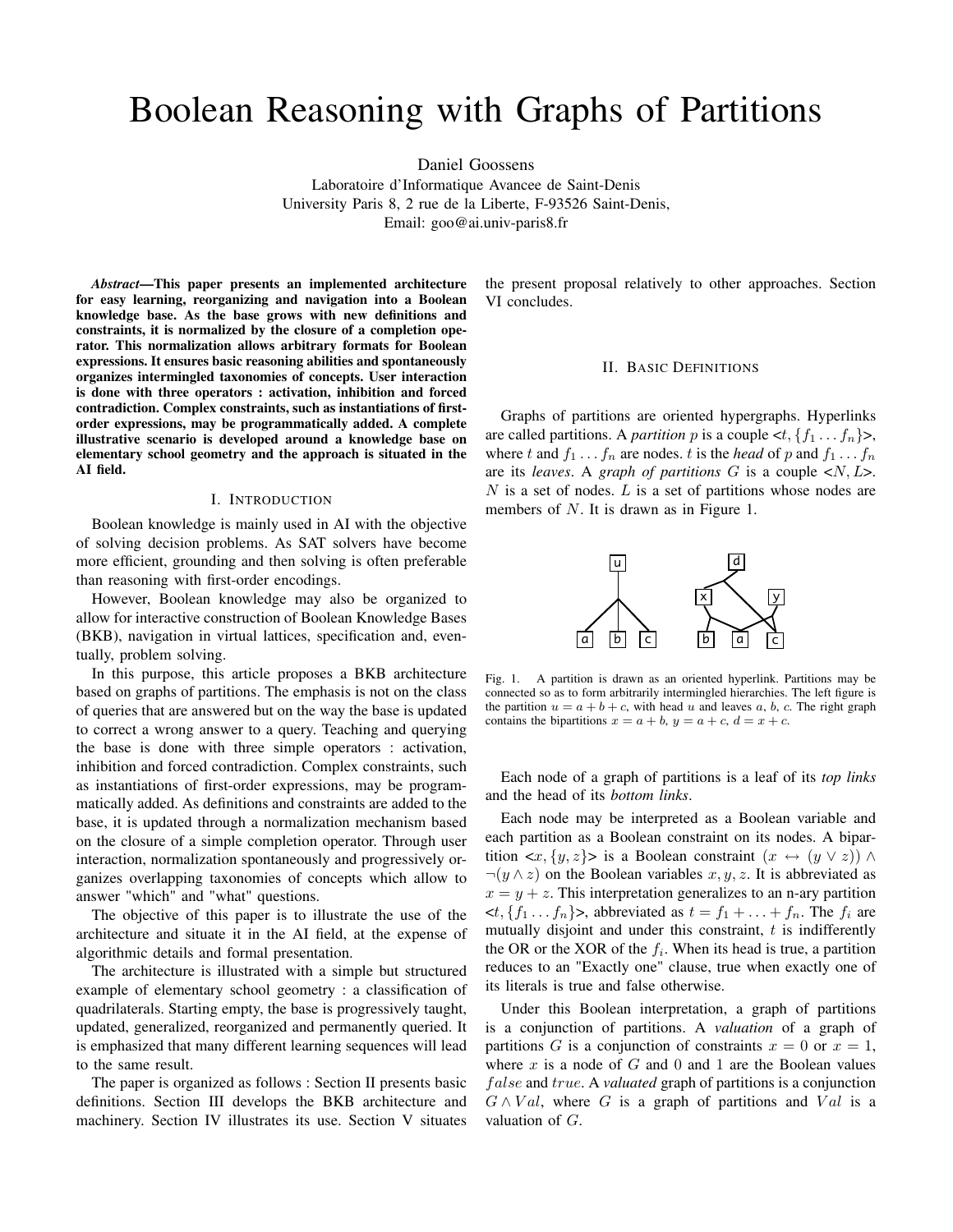# Boolean Reasoning with Graphs of Partitions

Daniel Goossens

Laboratoire d'Informatique Avancee de Saint-Denis University Paris 8, 2 rue de la Liberte, F-93526 Saint-Denis, Email: goo@ai.univ-paris8.fr

*Abstract*—This paper presents an implemented architecture for easy learning, reorganizing and navigation into a Boolean knowledge base. As the base grows with new definitions and constraints, it is normalized by the closure of a completion operator. This normalization allows arbitrary formats for Boolean expressions. It ensures basic reasoning abilities and spontaneously organizes intermingled taxonomies of concepts. User interaction is done with three operators : activation, inhibition and forced contradiction. Complex constraints, such as instantiations of firstorder expressions, may be programmatically added. A complete illustrative scenario is developed around a knowledge base on elementary school geometry and the approach is situated in the AI field.

#### I. INTRODUCTION

Boolean knowledge is mainly used in AI with the objective of solving decision problems. As SAT solvers have become more efficient, grounding and then solving is often preferable than reasoning with first-order encodings.

However, Boolean knowledge may also be organized to allow for interactive construction of Boolean Knowledge Bases (BKB), navigation in virtual lattices, specification and, eventually, problem solving.

In this purpose, this article proposes a BKB architecture based on graphs of partitions. The emphasis is not on the class of queries that are answered but on the way the base is updated to correct a wrong answer to a query. Teaching and querying the base is done with three simple operators : activation, inhibition and forced contradiction. Complex constraints, such as instantiations of first-order expressions, may be programmatically added. As definitions and constraints are added to the base, it is updated through a normalization mechanism based on the closure of a simple completion operator. Through user interaction, normalization spontaneously and progressively organizes overlapping taxonomies of concepts which allow to answer "which" and "what" questions.

The objective of this paper is to illustrate the use of the architecture and situate it in the AI field, at the expense of algorithmic details and formal presentation.

The architecture is illustrated with a simple but structured example of elementary school geometry : a classification of quadrilaterals. Starting empty, the base is progressively taught, updated, generalized, reorganized and permanently queried. It is emphasized that many different learning sequences will lead to the same result.

The paper is organized as follows : Section II presents basic definitions. Section III develops the BKB architecture and machinery. Section IV illustrates its use. Section V situates the present proposal relatively to other approaches. Section VI concludes.

#### II. BASIC DEFINITIONS

Graphs of partitions are oriented hypergraphs. Hyperlinks are called partitions. A *partition* p is a couple  $\langle t, \{f_1, \ldots, f_n\} \rangle$ , where t and  $f_1 \ldots f_n$  are nodes. t is the *head* of p and  $f_1 \ldots f_n$ are its *leaves*. A *graph of partitions* G is a couple <N, L>.  $N$  is a set of nodes. L is a set of partitions whose nodes are members of N. It is drawn as in Figure 1.



Fig. 1. A partition is drawn as an oriented hyperlink. Partitions may be connected so as to form arbitrarily intermingled hierarchies. The left figure is the partition  $u = a + b + c$ , with head u and leaves a, b, c. The right graph contains the bipartitions  $x = a + b$ ,  $y = a + c$ ,  $d = x + c$ .

Each node of a graph of partitions is a leaf of its *top links* and the head of its *bottom links*.

Each node may be interpreted as a Boolean variable and each partition as a Boolean constraint on its nodes. A bipartition  $\langle x, \{y, z\}\rangle$  is a Boolean constraint  $(x \leftrightarrow (y \lor z))$   $\land$  $\neg(y \wedge z)$  on the Boolean variables  $x, y, z$ . It is abbreviated as  $x = y + z$ . This interpretation generalizes to an n-ary partition  $\langle t, \{f_1 \dots f_n\} \rangle$ , abbreviated as  $t = f_1 + \dots + f_n$ . The  $f_i$  are mutually disjoint and under this constraint,  $t$  is indifferently the OR or the XOR of the  $f_i$ . When its head is true, a partition reduces to an "Exactly one" clause, true when exactly one of its literals is true and false otherwise.

Under this Boolean interpretation, a graph of partitions is a conjunction of partitions. A *valuation* of a graph of partitions G is a conjunction of constraints  $x = 0$  or  $x = 1$ , where  $x$  is a node of  $G$  and  $0$  and  $1$  are the Boolean values f alse and true. A *valuated* graph of partitions is a conjunction  $G \wedge Val$ , where G is a graph of partitions and Val is a valuation of G.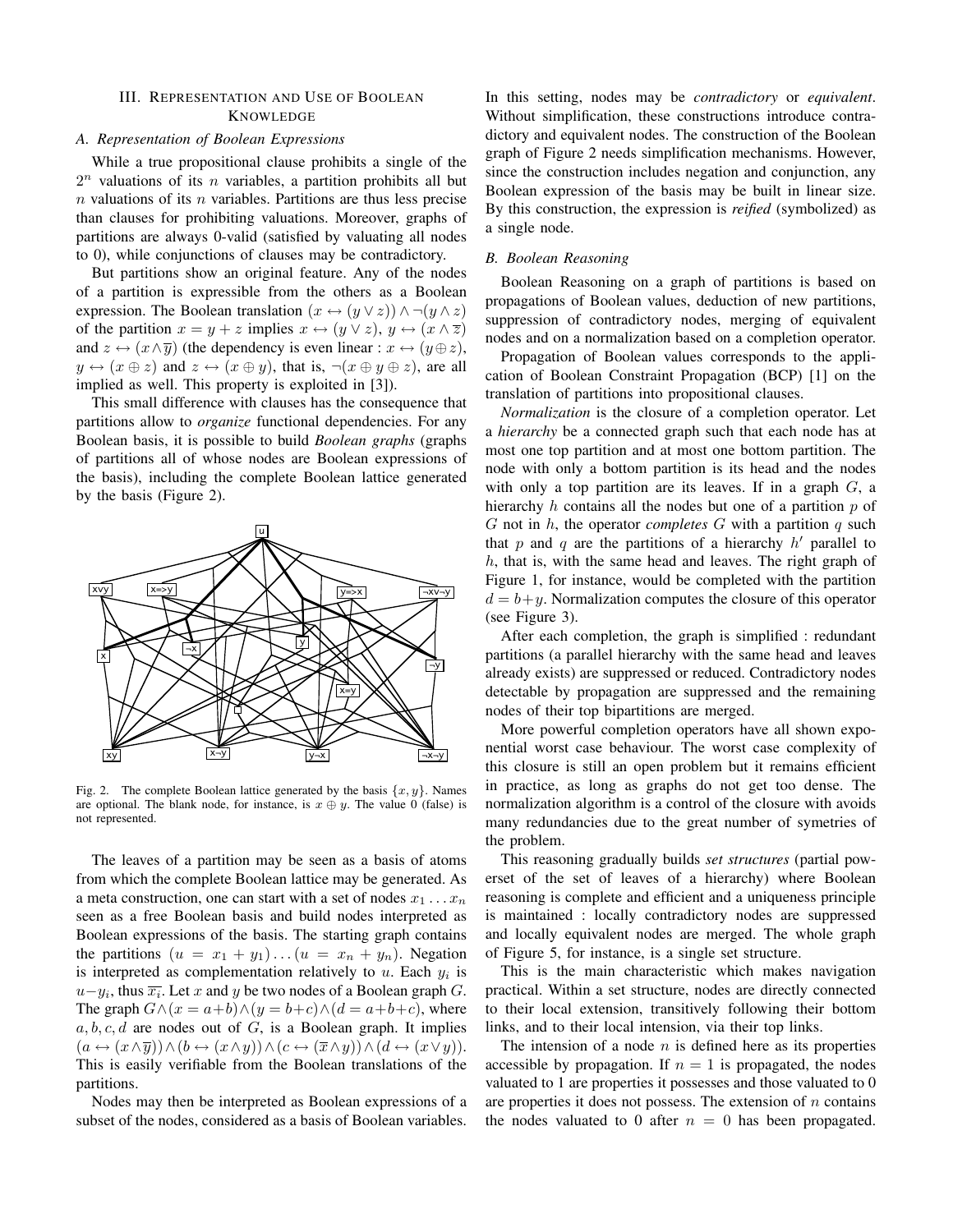#### III. REPRESENTATION AND USE OF BOOLEAN **KNOWLEDGE**

#### *A. Representation of Boolean Expressions*

While a true propositional clause prohibits a single of the  $2^n$  valuations of its *n* variables, a partition prohibits all but  $n$  valuations of its  $n$  variables. Partitions are thus less precise than clauses for prohibiting valuations. Moreover, graphs of partitions are always 0-valid (satisfied by valuating all nodes to 0), while conjunctions of clauses may be contradictory.

But partitions show an original feature. Any of the nodes of a partition is expressible from the others as a Boolean expression. The Boolean translation  $(x \leftrightarrow (y \lor z)) \land \neg (y \land z)$ of the partition  $x = y + z$  implies  $x \leftrightarrow (y \lor z)$ ,  $y \leftrightarrow (x \land \overline{z})$ and  $z \leftrightarrow (x \wedge \overline{y})$  (the dependency is even linear :  $x \leftrightarrow (y \oplus z)$ ,  $y \leftrightarrow (x \oplus z)$  and  $z \leftrightarrow (x \oplus y)$ , that is,  $\neg(x \oplus y \oplus z)$ , are all implied as well. This property is exploited in [3]).

This small difference with clauses has the consequence that partitions allow to *organize* functional dependencies. For any Boolean basis, it is possible to build *Boolean graphs* (graphs of partitions all of whose nodes are Boolean expressions of the basis), including the complete Boolean lattice generated by the basis (Figure 2).



Fig. 2. The complete Boolean lattice generated by the basis  $\{x, y\}$ . Names are optional. The blank node, for instance, is  $x \oplus y$ . The value 0 (false) is not represented.

The leaves of a partition may be seen as a basis of atoms from which the complete Boolean lattice may be generated. As a meta construction, one can start with a set of nodes  $x_1 \ldots x_n$ seen as a free Boolean basis and build nodes interpreted as Boolean expressions of the basis. The starting graph contains the partitions  $(u = x_1 + y_1)...(u = x_n + y_n)$ . Negation is interpreted as complementation relatively to  $u$ . Each  $y_i$  is  $u-y_i$ , thus  $\overline{x_i}$ . Let x and y be two nodes of a Boolean graph G. The graph  $G \wedge (x = a+b) \wedge (y = b+c) \wedge (d = a+b+c)$ , where  $a, b, c, d$  are nodes out of G, is a Boolean graph. It implies  $(a \leftrightarrow (x \land \overline{y})) \land (b \leftrightarrow (x \land y)) \land (c \leftrightarrow (\overline{x} \land y)) \land (d \leftrightarrow (x \lor y)).$ This is easily verifiable from the Boolean translations of the partitions.

Nodes may then be interpreted as Boolean expressions of a subset of the nodes, considered as a basis of Boolean variables.

In this setting, nodes may be *contradictory* or *equivalent*. Without simplification, these constructions introduce contradictory and equivalent nodes. The construction of the Boolean graph of Figure 2 needs simplification mechanisms. However, since the construction includes negation and conjunction, any Boolean expression of the basis may be built in linear size. By this construction, the expression is *reified* (symbolized) as a single node.

#### *B. Boolean Reasoning*

Boolean Reasoning on a graph of partitions is based on propagations of Boolean values, deduction of new partitions, suppression of contradictory nodes, merging of equivalent nodes and on a normalization based on a completion operator.

Propagation of Boolean values corresponds to the application of Boolean Constraint Propagation (BCP) [1] on the translation of partitions into propositional clauses.

*Normalization* is the closure of a completion operator. Let a *hierarchy* be a connected graph such that each node has at most one top partition and at most one bottom partition. The node with only a bottom partition is its head and the nodes with only a top partition are its leaves. If in a graph  $G$ , a hierarchy  $h$  contains all the nodes but one of a partition  $p$  of G not in h, the operator *completes* G with a partition q such that p and q are the partitions of a hierarchy  $h'$  parallel to  $h$ , that is, with the same head and leaves. The right graph of Figure 1, for instance, would be completed with the partition  $d = b + y$ . Normalization computes the closure of this operator (see Figure 3).

After each completion, the graph is simplified : redundant partitions (a parallel hierarchy with the same head and leaves already exists) are suppressed or reduced. Contradictory nodes detectable by propagation are suppressed and the remaining nodes of their top bipartitions are merged.

More powerful completion operators have all shown exponential worst case behaviour. The worst case complexity of this closure is still an open problem but it remains efficient in practice, as long as graphs do not get too dense. The normalization algorithm is a control of the closure with avoids many redundancies due to the great number of symetries of the problem.

This reasoning gradually builds *set structures* (partial powerset of the set of leaves of a hierarchy) where Boolean reasoning is complete and efficient and a uniqueness principle is maintained : locally contradictory nodes are suppressed and locally equivalent nodes are merged. The whole graph of Figure 5, for instance, is a single set structure.

This is the main characteristic which makes navigation practical. Within a set structure, nodes are directly connected to their local extension, transitively following their bottom links, and to their local intension, via their top links.

The intension of a node  $n$  is defined here as its properties accessible by propagation. If  $n = 1$  is propagated, the nodes valuated to 1 are properties it possesses and those valuated to 0 are properties it does not possess. The extension of  $n$  contains the nodes valuated to 0 after  $n = 0$  has been propagated.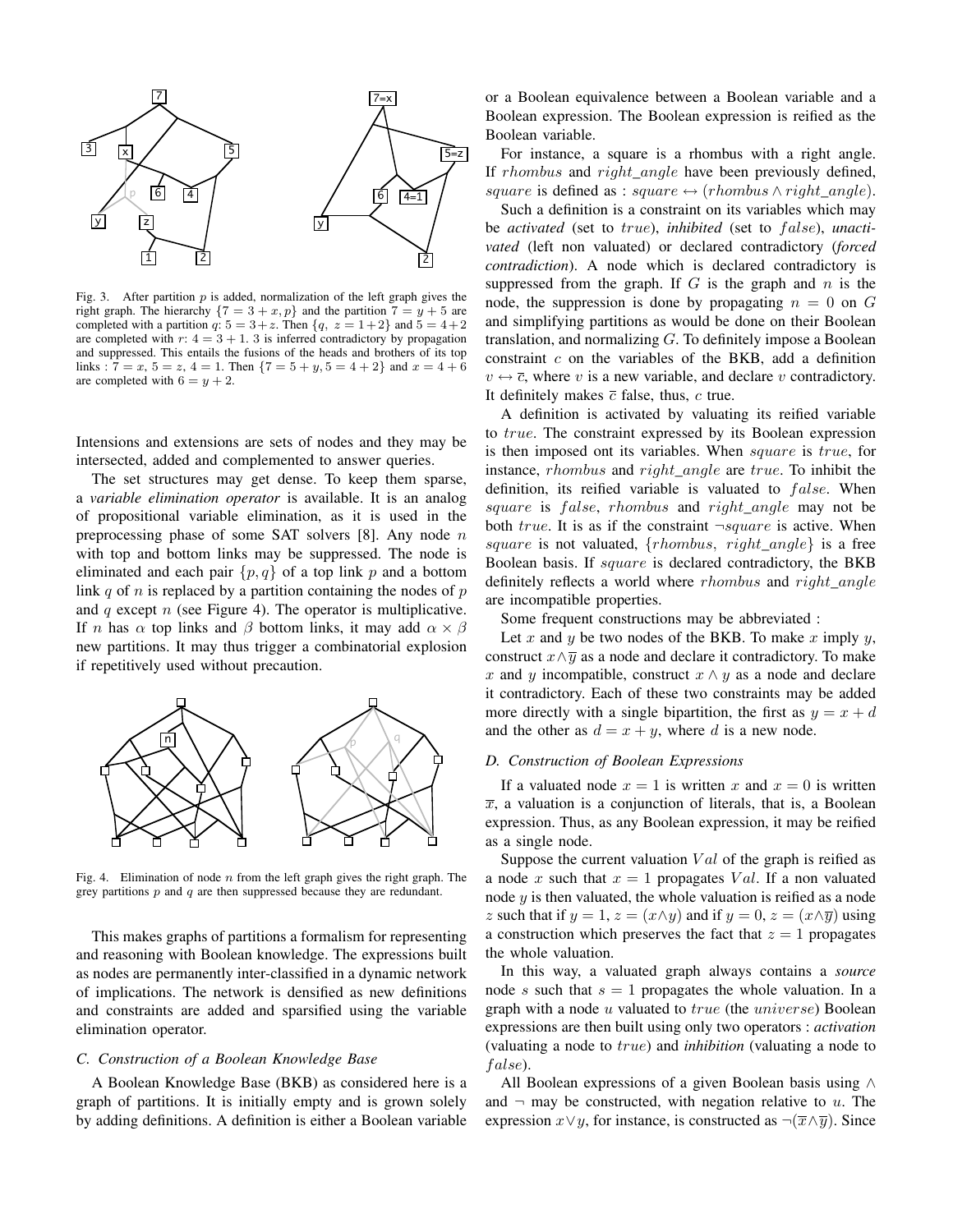

Fig. 3. After partition  $p$  is added, normalization of the left graph gives the right graph. The hierarchy  $\{7 = 3 + x, p\}$  and the partition  $7 = y + 5$  are completed with a partition q:  $5 = 3 + z$ . Then  $\{q, z = 1 + 2\}$  and  $5 = 4 + 2$ are completed with  $r: 4 = 3 + 1$ . 3 is inferred contradictory by propagation and suppressed. This entails the fusions of the heads and brothers of its top links :  $7 = x$ ,  $5 = z$ ,  $4 = 1$ . Then  $\{7 = 5 + y, 5 = 4 + 2\}$  and  $x = 4 + 6$ are completed with  $6 = y + 2$ .

Intensions and extensions are sets of nodes and they may be intersected, added and complemented to answer queries.

The set structures may get dense. To keep them sparse, a *variable elimination operator* is available. It is an analog of propositional variable elimination, as it is used in the preprocessing phase of some SAT solvers  $[8]$ . Any node n with top and bottom links may be suppressed. The node is eliminated and each pair  $\{p, q\}$  of a top link p and a bottom link  $q$  of  $n$  is replaced by a partition containing the nodes of  $p$ and  $q$  except  $n$  (see Figure 4). The operator is multiplicative. If *n* has  $\alpha$  top links and  $\beta$  bottom links, it may add  $\alpha \times \beta$ new partitions. It may thus trigger a combinatorial explosion if repetitively used without precaution.



Fig. 4. Elimination of node  $n$  from the left graph gives the right graph. The grey partitions  $p$  and  $q$  are then suppressed because they are redundant.

This makes graphs of partitions a formalism for representing and reasoning with Boolean knowledge. The expressions built as nodes are permanently inter-classified in a dynamic network of implications. The network is densified as new definitions and constraints are added and sparsified using the variable elimination operator.

#### *C. Construction of a Boolean Knowledge Base*

A Boolean Knowledge Base (BKB) as considered here is a graph of partitions. It is initially empty and is grown solely by adding definitions. A definition is either a Boolean variable or a Boolean equivalence between a Boolean variable and a Boolean expression. The Boolean expression is reified as the Boolean variable.

For instance, a square is a rhombus with a right angle. If *rhombus* and *right\_angle* have been previously defined, square is defined as : square  $\leftrightarrow$  (rhombus  $\land$  right angle).

Such a definition is a constraint on its variables which may be *activated* (set to *true*), *inhibited* (set to *false*), *unactivated* (left non valuated) or declared contradictory (*forced contradiction*). A node which is declared contradictory is suppressed from the graph. If  $G$  is the graph and  $n$  is the node, the suppression is done by propagating  $n = 0$  on G and simplifying partitions as would be done on their Boolean translation, and normalizing  $G$ . To definitely impose a Boolean constraint  $c$  on the variables of the BKB, add a definition  $v \leftrightarrow \overline{c}$ , where v is a new variable, and declare v contradictory. It definitely makes  $\bar{c}$  false, thus,  $c$  true.

A definition is activated by valuating its reified variable to true. The constraint expressed by its Boolean expression is then imposed ont its variables. When square is true, for instance, rhombus and right\_angle are true. To inhibit the definition, its reified variable is valuated to  $false$ . When square is false, rhombus and right angle may not be both true. It is as if the constraint  $\neg square$  is active. When square is not valuated,  ${rhombus, right\_angle}$  is a free Boolean basis. If square is declared contradictory, the BKB definitely reflects a world where *rhombus* and *right\_angle* are incompatible properties.

Some frequent constructions may be abbreviated :

Let  $x$  and  $y$  be two nodes of the BKB. To make  $x$  imply  $y$ , construct  $x \wedge \overline{y}$  as a node and declare it contradictory. To make x and y incompatible, construct  $x \wedge y$  as a node and declare it contradictory. Each of these two constraints may be added more directly with a single bipartition, the first as  $y = x + d$ and the other as  $d = x + y$ , where d is a new node.

#### *D. Construction of Boolean Expressions*

If a valuated node  $x = 1$  is written x and  $x = 0$  is written  $\overline{x}$ , a valuation is a conjunction of literals, that is, a Boolean expression. Thus, as any Boolean expression, it may be reified as a single node.

Suppose the current valuation  $Val$  of the graph is reified as a node x such that  $x = 1$  propagates Val. If a non valuated node  $y$  is then valuated, the whole valuation is reified as a node z such that if  $y = 1$ ,  $z = (x \land y)$  and if  $y = 0$ ,  $z = (x \land \overline{y})$  using a construction which preserves the fact that  $z = 1$  propagates the whole valuation.

In this way, a valuated graph always contains a *source* node s such that  $s = 1$  propagates the whole valuation. In a graph with a node  $u$  valuated to  $true$  (the  $universe$ ) Boolean expressions are then built using only two operators : *activation* (valuating a node to true) and *inhibition* (valuating a node to false).

All Boolean expressions of a given Boolean basis using ∧ and  $\neg$  may be constructed, with negation relative to u. The expression  $x \lor y$ , for instance, is constructed as  $\neg(\overline{x} \land \overline{y})$ . Since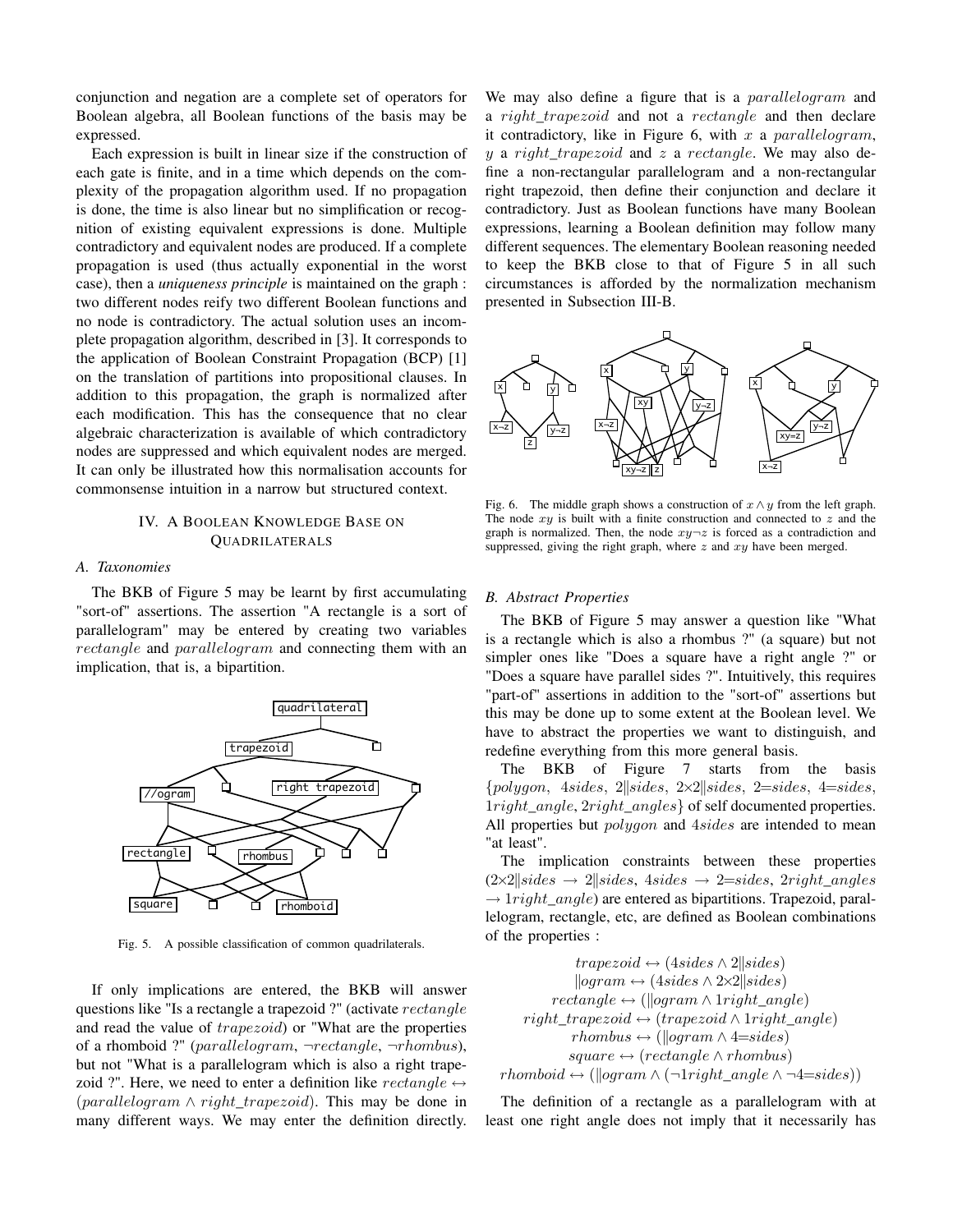conjunction and negation are a complete set of operators for Boolean algebra, all Boolean functions of the basis may be expressed.

Each expression is built in linear size if the construction of each gate is finite, and in a time which depends on the complexity of the propagation algorithm used. If no propagation is done, the time is also linear but no simplification or recognition of existing equivalent expressions is done. Multiple contradictory and equivalent nodes are produced. If a complete propagation is used (thus actually exponential in the worst case), then a *uniqueness principle* is maintained on the graph : two different nodes reify two different Boolean functions and no node is contradictory. The actual solution uses an incomplete propagation algorithm, described in [3]. It corresponds to the application of Boolean Constraint Propagation (BCP) [1] on the translation of partitions into propositional clauses. In addition to this propagation, the graph is normalized after each modification. This has the consequence that no clear algebraic characterization is available of which contradictory nodes are suppressed and which equivalent nodes are merged. It can only be illustrated how this normalisation accounts for commonsense intuition in a narrow but structured context.

#### IV. A BOOLEAN KNOWLEDGE BASE ON QUADRILATERALS

#### *A. Taxonomies*

The BKB of Figure 5 may be learnt by first accumulating "sort-of" assertions. The assertion "A rectangle is a sort of parallelogram" may be entered by creating two variables rectangle and parallelogram and connecting them with an implication, that is, a bipartition.



Fig. 5. A possible classification of common quadrilaterals.

If only implications are entered, the BKB will answer questions like "Is a rectangle a trapezoid ?" (activate rectangle and read the value of trapezoid) or "What are the properties of a rhomboid ?" (parallelogram,  $\neg rectangle$ ,  $\neg rhombus$ ), but not "What is a parallelogram which is also a right trapezoid ?". Here, we need to enter a definition like  $rectangle \leftrightarrow$  $(parallelogram \wedge right\_trapezoid)$ . This may be done in many different ways. We may enter the definition directly.

We may also define a figure that is a *parallelogram* and a right\_trapezoid and not a rectangle and then declare it contradictory, like in Figure 6, with  $x$  a parallelogram,  $y$  a right\_trapezoid and  $z$  a rectangle. We may also define a non-rectangular parallelogram and a non-rectangular right trapezoid, then define their conjunction and declare it contradictory. Just as Boolean functions have many Boolean expressions, learning a Boolean definition may follow many different sequences. The elementary Boolean reasoning needed to keep the BKB close to that of Figure 5 in all such circumstances is afforded by the normalization mechanism presented in Subsection III-B.



Fig. 6. The middle graph shows a construction of  $x \wedge y$  from the left graph. The node  $xy$  is built with a finite construction and connected to  $z$  and the graph is normalized. Then, the node  $xy\rightarrow z$  is forced as a contradiction and suppressed, giving the right graph, where  $z$  and  $xy$  have been merged.

#### *B. Abstract Properties*

The BKB of Figure 5 may answer a question like "What is a rectangle which is also a rhombus ?" (a square) but not simpler ones like "Does a square have a right angle ?" or "Does a square have parallel sides ?". Intuitively, this requires "part-of" assertions in addition to the "sort-of" assertions but this may be done up to some extent at the Boolean level. We have to abstract the properties we want to distinguish, and redefine everything from this more general basis.

The BKB of Figure 7 starts from the basis  ${polygon, 4 sides, 2|| sides, 2\times2|| sides, 2= sides, 4= sides,$ 1right\_angle, 2right\_angles} of self documented properties. All properties but *polygon* and  $4 sides$  are intended to mean "at least".

The implication constraints between these properties  $(2\times2|| sides \rightarrow 2|| sides, 4 sides \rightarrow 2=sides, 2right\_angles$  $\rightarrow$  1*right\_angle*) are entered as bipartitions. Trapezoid, parallelogram, rectangle, etc, are defined as Boolean combinations of the properties :

 $trapezoid \leftrightarrow (4 sides \wedge 2|| sides)$  $\logram \leftrightarrow (4sides \wedge 2\times 2 \mid sides)$  $rectangle \leftrightarrow (\\logram \wedge 1right\_angle)$  $right\_trapezoid \leftrightarrow (trapezoid \wedge 1 right\_angle)$  $rhombus \leftrightarrow (\\leq)$ square  $\leftrightarrow$  (rectangle  $\land$  rhombus)  $rhomboid \leftrightarrow (\\logram \wedge (\neg bright\_angle \wedge \neg 4= sides))$ 

The definition of a rectangle as a parallelogram with at least one right angle does not imply that it necessarily has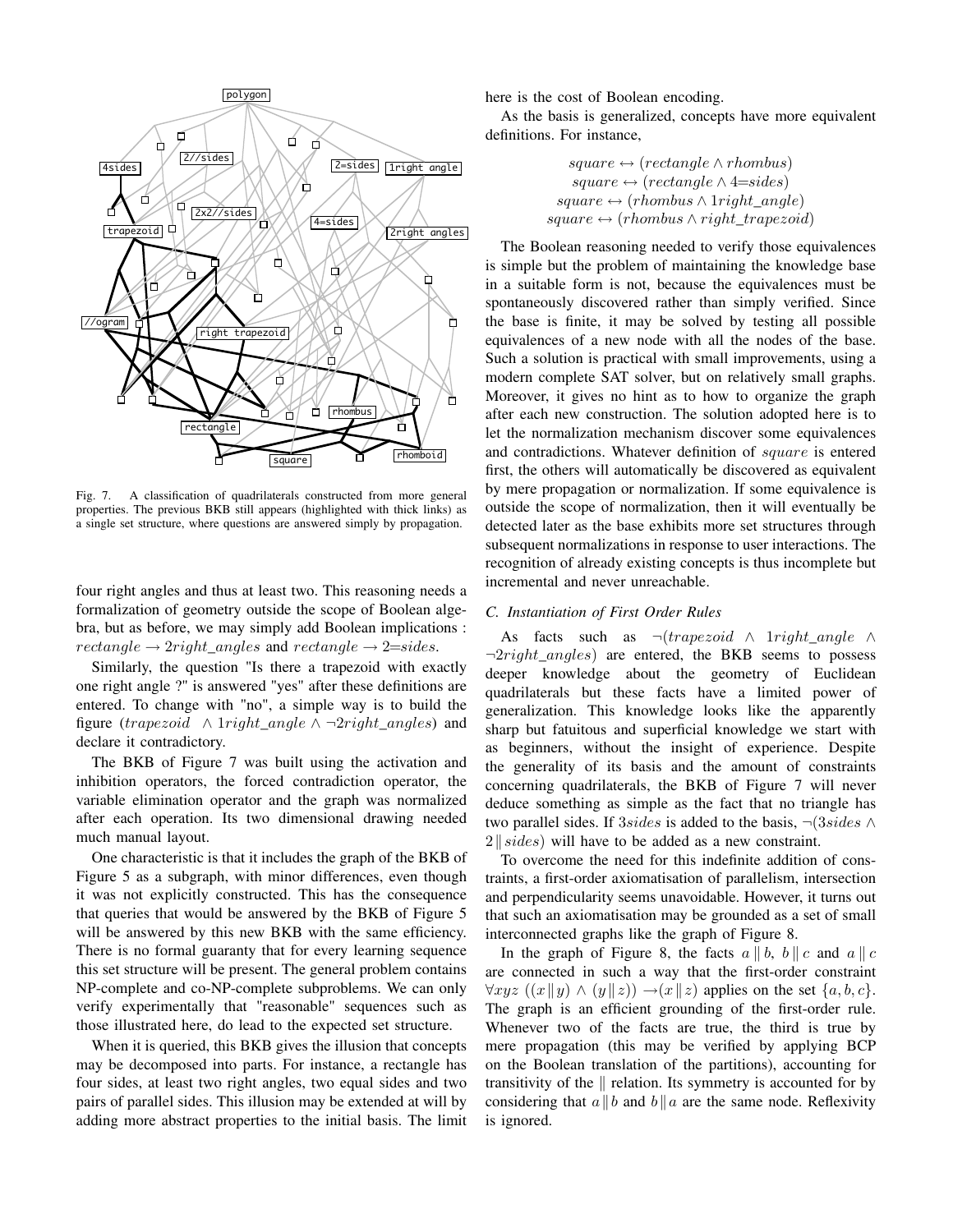

Fig. 7. A classification of quadrilaterals constructed from more general properties. The previous BKB still appears (highlighted with thick links) as a single set structure, where questions are answered simply by propagation.

four right angles and thus at least two. This reasoning needs a formalization of geometry outside the scope of Boolean algebra, but as before, we may simply add Boolean implications :  $rectangle \rightarrow 2right\_angles$  and  $rectangle \rightarrow 2= sides$ .

Similarly, the question "Is there a trapezoid with exactly one right angle ?" is answered "yes" after these definitions are entered. To change with "no", a simple way is to build the figure (trapezoid  $\land$  1right\_angle  $\land \neg$ 2right\_angles) and declare it contradictory.

The BKB of Figure 7 was built using the activation and inhibition operators, the forced contradiction operator, the variable elimination operator and the graph was normalized after each operation. Its two dimensional drawing needed much manual layout.

One characteristic is that it includes the graph of the BKB of Figure 5 as a subgraph, with minor differences, even though it was not explicitly constructed. This has the consequence that queries that would be answered by the BKB of Figure 5 will be answered by this new BKB with the same efficiency. There is no formal guaranty that for every learning sequence this set structure will be present. The general problem contains NP-complete and co-NP-complete subproblems. We can only verify experimentally that "reasonable" sequences such as those illustrated here, do lead to the expected set structure.

When it is queried, this BKB gives the illusion that concepts may be decomposed into parts. For instance, a rectangle has four sides, at least two right angles, two equal sides and two pairs of parallel sides. This illusion may be extended at will by adding more abstract properties to the initial basis. The limit here is the cost of Boolean encoding.

As the basis is generalized, concepts have more equivalent definitions. For instance,

> square  $\leftrightarrow$  (rectangle  $\land$  rhombus) square  $\leftrightarrow$  (rectangle  $\land$  4=sides) square  $\leftrightarrow$  (rhombus  $\wedge$  1 right angle) square  $\leftrightarrow$  (rhombus  $\land$  right\_trapezoid)

The Boolean reasoning needed to verify those equivalences is simple but the problem of maintaining the knowledge base in a suitable form is not, because the equivalences must be spontaneously discovered rather than simply verified. Since the base is finite, it may be solved by testing all possible equivalences of a new node with all the nodes of the base. Such a solution is practical with small improvements, using a modern complete SAT solver, but on relatively small graphs. Moreover, it gives no hint as to how to organize the graph after each new construction. The solution adopted here is to let the normalization mechanism discover some equivalences and contradictions. Whatever definition of square is entered first, the others will automatically be discovered as equivalent by mere propagation or normalization. If some equivalence is outside the scope of normalization, then it will eventually be detected later as the base exhibits more set structures through subsequent normalizations in response to user interactions. The recognition of already existing concepts is thus incomplete but incremental and never unreachable.

#### *C. Instantiation of First Order Rules*

As facts such as  $\neg (trapezoid \wedge 1 right angle \wedge$  $\neg 2 right\_angles$  are entered, the BKB seems to possess deeper knowledge about the geometry of Euclidean quadrilaterals but these facts have a limited power of generalization. This knowledge looks like the apparently sharp but fatuitous and superficial knowledge we start with as beginners, without the insight of experience. Despite the generality of its basis and the amount of constraints concerning quadrilaterals, the BKB of Figure 7 will never deduce something as simple as the fact that no triangle has two parallel sides. If 3sides is added to the basis,  $\neg$ (3sides  $\wedge$  $2\|\,sides)$  will have to be added as a new constraint.

To overcome the need for this indefinite addition of constraints, a first-order axiomatisation of parallelism, intersection and perpendicularity seems unavoidable. However, it turns out that such an axiomatisation may be grounded as a set of small interconnected graphs like the graph of Figure 8.

In the graph of Figure 8, the facts  $a \parallel b$ ,  $b \parallel c$  and  $a \parallel c$ are connected in such a way that the first-order constraint  $\forall xyz \ ((x||y) \land (y||z)) \rightarrow (x||z)$  applies on the set  $\{a, b, c\}.$ The graph is an efficient grounding of the first-order rule. Whenever two of the facts are true, the third is true by mere propagation (this may be verified by applying BCP on the Boolean translation of the partitions), accounting for transitivity of the  $\parallel$  relation. Its symmetry is accounted for by considering that  $a||b$  and  $b||a$  are the same node. Reflexivity is ignored.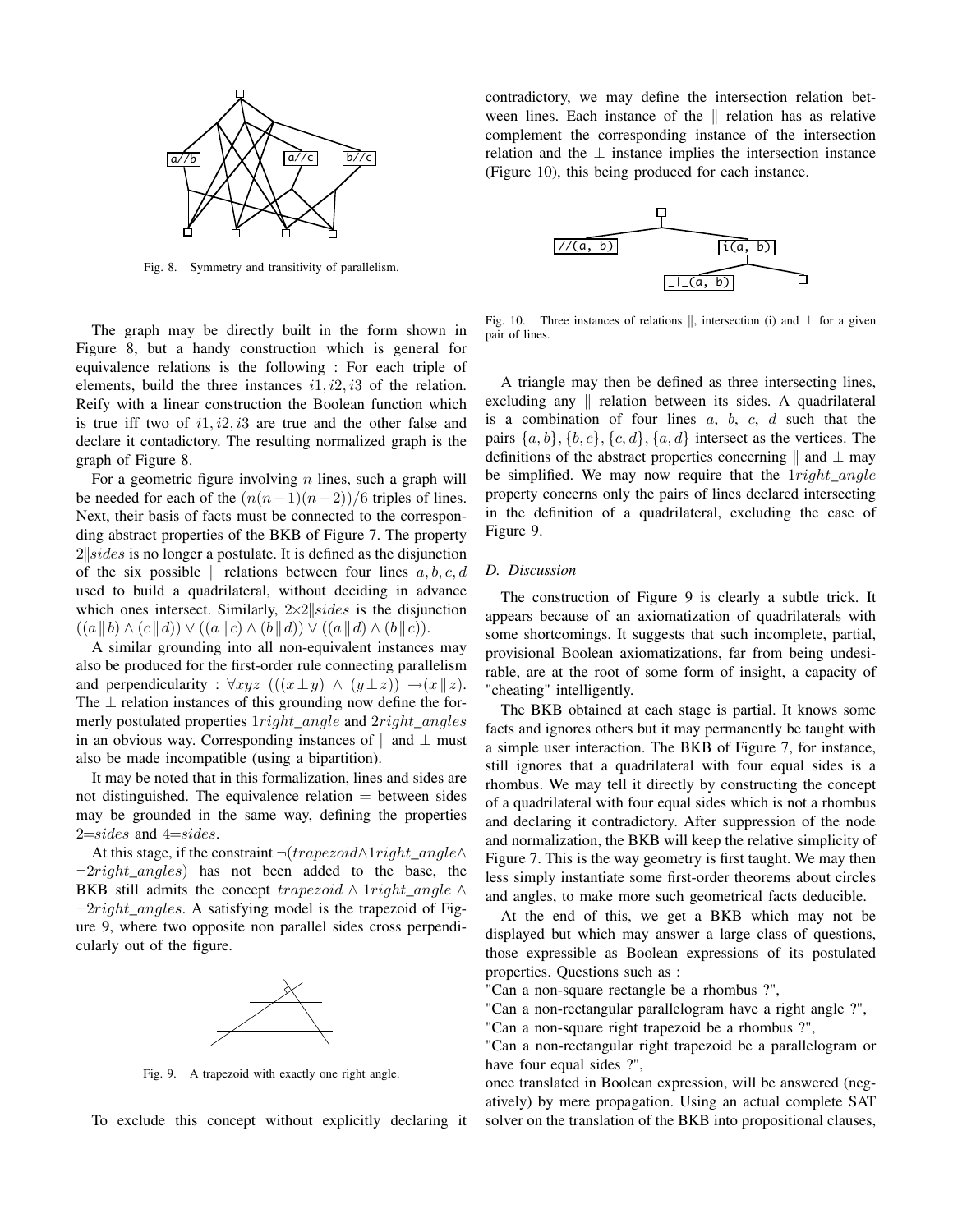

Fig. 8. Symmetry and transitivity of parallelism.

The graph may be directly built in the form shown in Figure 8, but a handy construction which is general for equivalence relations is the following : For each triple of elements, build the three instances  $i1$ ,  $i2$ ,  $i3$  of the relation. Reify with a linear construction the Boolean function which is true iff two of  $i1$ ,  $i2$ ,  $i3$  are true and the other false and declare it contadictory. The resulting normalized graph is the graph of Figure 8.

For a geometric figure involving  $n$  lines, such a graph will be needed for each of the  $(n(n-1)(n-2))/6$  triples of lines. Next, their basis of facts must be connected to the corresponding abstract properties of the BKB of Figure 7. The property  $2$ ||sides is no longer a postulate. It is defined as the disjunction of the six possible  $\parallel$  relations between four lines  $a, b, c, d$ used to build a quadrilateral, without deciding in advance which ones intersect. Similarly,  $2 \times 2 \leq sides$  is the disjunction  $((a||b) \wedge (c||d)) \vee ((a||c) \wedge (b||d)) \vee ((a||d) \wedge (b||c)).$ 

A similar grounding into all non-equivalent instances may also be produced for the first-order rule connecting parallelism and perpendicularity :  $\forall xyz$   $(((x \perp y) \land (y \perp z)) \rightarrow (x \parallel z)$ . The  $\perp$  relation instances of this grounding now define the formerly postulated properties  $1 right$  angle and  $2 right$  angles in an obvious way. Corresponding instances of  $\parallel$  and  $\perp$  must also be made incompatible (using a bipartition).

It may be noted that in this formalization, lines and sides are not distinguished. The equivalence relation  $=$  between sides may be grounded in the same way, defining the properties  $2=$ sides and  $4=$ sides.

At this stage, if the constraint  $\neg (trapezoid \land 1 right\_angle \land$  $\neg 2 right\_angles$  has not been added to the base, the BKB still admits the concept trapezoid  $\land$  1right\_angle  $\land$  $\neg 2 right$  angles. A satisfying model is the trapezoid of Figure 9, where two opposite non parallel sides cross perpendicularly out of the figure.



Fig. 9. A trapezoid with exactly one right angle.

To exclude this concept without explicitly declaring it

contradictory, we may define the intersection relation between lines. Each instance of the  $\parallel$  relation has as relative complement the corresponding instance of the intersection relation and the  $\perp$  instance implies the intersection instance (Figure 10), this being produced for each instance.



Fig. 10. Three instances of relations  $\parallel$ , intersection (i) and  $\perp$  for a given pair of lines.

A triangle may then be defined as three intersecting lines, excluding any  $\parallel$  relation between its sides. A quadrilateral is a combination of four lines  $a, b, c, d$  such that the pairs  $\{a, b\}, \{b, c\}, \{c, d\}, \{a, d\}$  intersect as the vertices. The definitions of the abstract properties concerning  $\parallel$  and  $\perp$  may be simplified. We may now require that the  $1 right$ <sub>angle</sub> property concerns only the pairs of lines declared intersecting in the definition of a quadrilateral, excluding the case of Figure 9.

#### *D. Discussion*

The construction of Figure 9 is clearly a subtle trick. It appears because of an axiomatization of quadrilaterals with some shortcomings. It suggests that such incomplete, partial, provisional Boolean axiomatizations, far from being undesirable, are at the root of some form of insight, a capacity of "cheating" intelligently.

The BKB obtained at each stage is partial. It knows some facts and ignores others but it may permanently be taught with a simple user interaction. The BKB of Figure 7, for instance, still ignores that a quadrilateral with four equal sides is a rhombus. We may tell it directly by constructing the concept of a quadrilateral with four equal sides which is not a rhombus and declaring it contradictory. After suppression of the node and normalization, the BKB will keep the relative simplicity of Figure 7. This is the way geometry is first taught. We may then less simply instantiate some first-order theorems about circles and angles, to make more such geometrical facts deducible.

At the end of this, we get a BKB which may not be displayed but which may answer a large class of questions, those expressible as Boolean expressions of its postulated properties. Questions such as :

"Can a non-square rectangle be a rhombus ?",

"Can a non-rectangular parallelogram have a right angle ?", "Can a non-square right trapezoid be a rhombus ?",

"Can a non-rectangular right trapezoid be a parallelogram or have four equal sides ?",

once translated in Boolean expression, will be answered (negatively) by mere propagation. Using an actual complete SAT solver on the translation of the BKB into propositional clauses,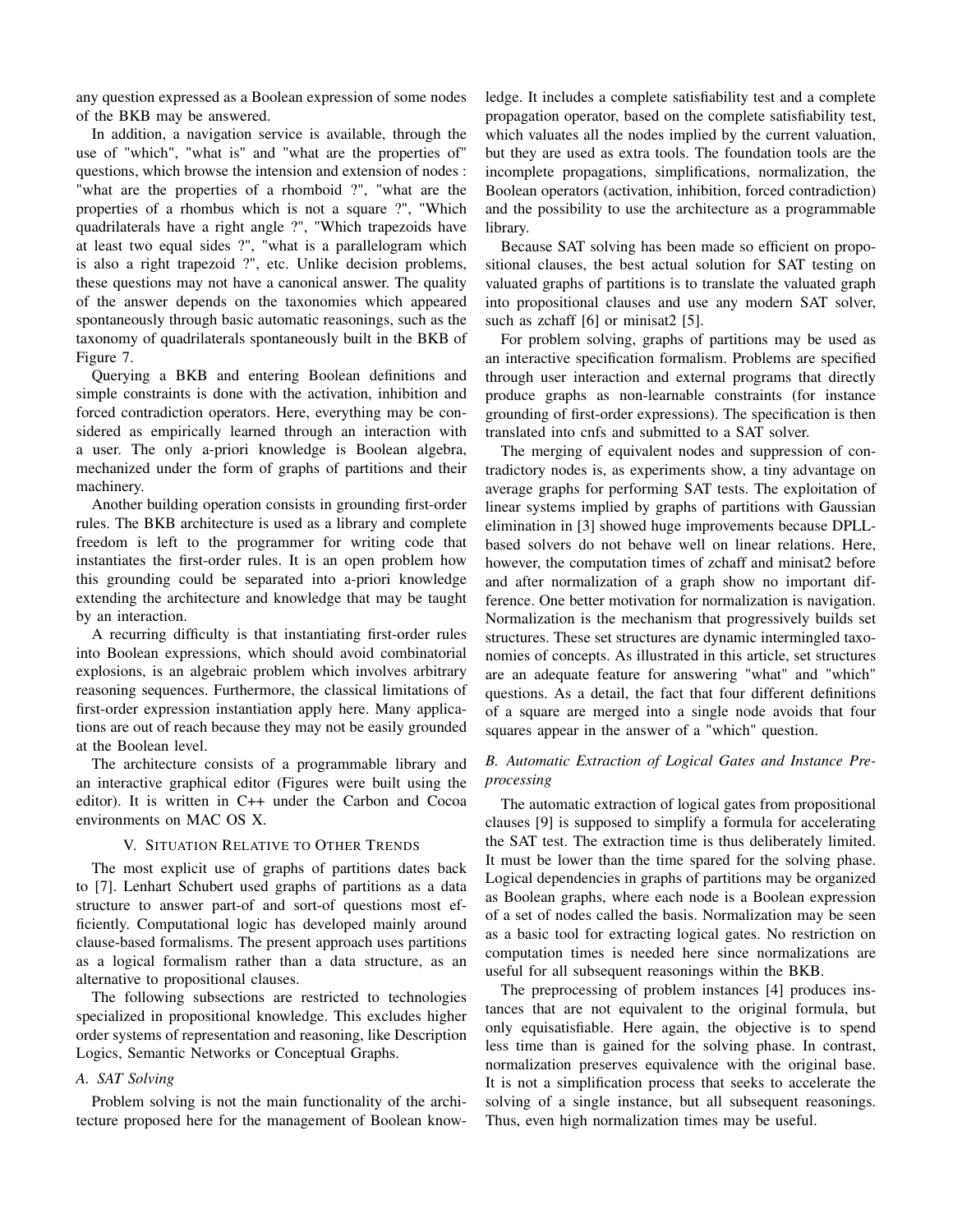any question expressed as a Boolean expression of some nodes of the BKB may be answered.

In addition, a navigation service is available, through the use of "which", "what is" and "what are the properties of" questions, which browse the intension and extension of nodes : "what are the properties of a rhomboid ?", "what are the properties of a rhombus which is not a square ?", "Which quadrilaterals have a right angle ?", "Which trapezoids have at least two equal sides ?", "what is a parallelogram which is also a right trapezoid ?", etc. Unlike decision problems, these questions may not have a canonical answer. The quality of the answer depends on the taxonomies which appeared spontaneously through basic automatic reasonings, such as the taxonomy of quadrilaterals spontaneously built in the BKB of Figure 7.

Querying a BKB and entering Boolean definitions and simple constraints is done with the activation, inhibition and forced contradiction operators. Here, everything may be considered as empirically learned through an interaction with a user. The only a-priori knowledge is Boolean algebra, mechanized under the form of graphs of partitions and their machinery.

Another building operation consists in grounding first-order rules. The BKB architecture is used as a library and complete freedom is left to the programmer for writing code that instantiates the first-order rules. It is an open problem how this grounding could be separated into a-priori knowledge extending the architecture and knowledge that may be taught by an interaction.

A recurring difficulty is that instantiating first-order rules into Boolean expressions, which should avoid combinatorial explosions, is an algebraic problem which involves arbitrary reasoning sequences. Furthermore, the classical limitations of first-order expression instantiation apply here. Many applications are out of reach because they may not be easily grounded at the Boolean level.

The architecture consists of a programmable library and an interactive graphical editor (Figures were built using the editor). It is written in C++ under the Carbon and Cocoa environments on MAC OS X.

#### V. SITUATION RELATIVE TO OTHER TRENDS

The most explicit use of graphs of partitions dates back to [7]. Lenhart Schubert used graphs of partitions as a data structure to answer part-of and sort-of questions most efficiently. Computational logic has developed mainly around clause-based formalisms. The present approach uses partitions as a logical formalism rather than a data structure, as an alternative to propositional clauses.

The following subsections are restricted to technologies specialized in propositional knowledge. This excludes higher order systems of representation and reasoning, like Description Logics, Semantic Networks or Conceptual Graphs.

#### *A. SAT Solving*

Problem solving is not the main functionality of the architecture proposed here for the management of Boolean knowledge. It includes a complete satisfiability test and a complete propagation operator, based on the complete satisfiability test, which valuates all the nodes implied by the current valuation, but they are used as extra tools. The foundation tools are the incomplete propagations, simplifications, normalization, the Boolean operators (activation, inhibition, forced contradiction) and the possibility to use the architecture as a programmable library.

Because SAT solving has been made so efficient on propositional clauses, the best actual solution for SAT testing on valuated graphs of partitions is to translate the valuated graph into propositional clauses and use any modern SAT solver, such as zchaff [6] or minisat2 [5].

For problem solving, graphs of partitions may be used as an interactive specification formalism. Problems are specified through user interaction and external programs that directly produce graphs as non-learnable constraints (for instance grounding of first-order expressions). The specification is then translated into cnfs and submitted to a SAT solver.

The merging of equivalent nodes and suppression of contradictory nodes is, as experiments show, a tiny advantage on average graphs for performing SAT tests. The exploitation of linear systems implied by graphs of partitions with Gaussian elimination in [3] showed huge improvements because DPLLbased solvers do not behave well on linear relations. Here, however, the computation times of zchaff and minisat2 before and after normalization of a graph show no important difference. One better motivation for normalization is navigation. Normalization is the mechanism that progressively builds set structures. These set structures are dynamic intermingled taxonomies of concepts. As illustrated in this article, set structures are an adequate feature for answering "what" and "which" questions. As a detail, the fact that four different definitions of a square are merged into a single node avoids that four squares appear in the answer of a "which" question.

#### *B. Automatic Extraction of Logical Gates and Instance Preprocessing*

The automatic extraction of logical gates from propositional clauses [9] is supposed to simplify a formula for accelerating the SAT test. The extraction time is thus deliberately limited. It must be lower than the time spared for the solving phase. Logical dependencies in graphs of partitions may be organized as Boolean graphs, where each node is a Boolean expression of a set of nodes called the basis. Normalization may be seen as a basic tool for extracting logical gates. No restriction on computation times is needed here since normalizations are useful for all subsequent reasonings within the BKB.

The preprocessing of problem instances [4] produces instances that are not equivalent to the original formula, but only equisatisfiable. Here again, the objective is to spend less time than is gained for the solving phase. In contrast, normalization preserves equivalence with the original base. It is not a simplification process that seeks to accelerate the solving of a single instance, but all subsequent reasonings. Thus, even high normalization times may be useful.